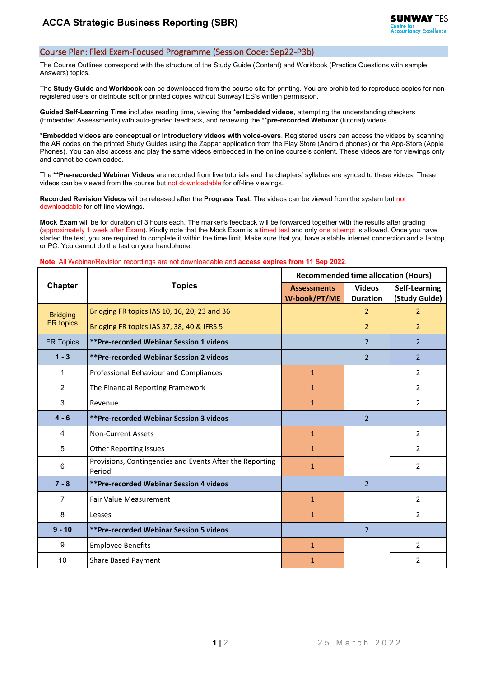## Course Plan: Flexi Exam-Focused Programme (Session Code: Sep22-P3b)

The Course Outlines correspond with the structure of the Study Guide (Content) and Workbook (Practice Questions with sample Answers) topics.

The **Study Guide** and **Workbook** can be downloaded from the course site for printing. You are prohibited to reproduce copies for nonregistered users or distribute soft or printed copies without SunwayTES's written permission.

**Guided Self-Learning Time** includes reading time, viewing the \***embedded videos**, attempting the understanding checkers (Embedded Assessments) with auto-graded feedback, and reviewing the \*\***pre-recorded Webinar** (tutorial) videos.

**\*Embedded videos are conceptual or introductory videos with voice-overs**. Registered users can access the videos by scanning the AR codes on the printed Study Guides using the Zappar application from the Play Store (Android phones) or the App-Store (Apple Phones). You can also access and play the same videos embedded in the online course's content. These videos are for viewings only and cannot be downloaded.

The **\*\*Pre-recorded Webinar Videos** are recorded from live tutorials and the chapters' syllabus are synced to these videos. These videos can be viewed from the course but not downloadable for off-line viewings.

**Recorded Revision Videos** will be released after the **Progress Test**. The videos can be viewed from the system but not downloadable for off-line viewings.

**Mock Exam** will be for duration of 3 hours each. The marker's feedback will be forwarded together with the results after grading (approximately 1 week after Exam). Kindly note that the Mock Exam is a timed test and only one attempt is allowed. Once you have started the test, you are required to complete it within the time limit. Make sure that you have a stable internet connection and a laptop or PC. You cannot do the test on your handphone.

## **Note**: All Webinar/Revision recordings are not downloadable and **access expires from 11 Sep 2022**.

| <b>Chapter</b>               | <b>Topics</b>                                                      | <b>Recommended time allocation (Hours)</b> |                                  |                                |
|------------------------------|--------------------------------------------------------------------|--------------------------------------------|----------------------------------|--------------------------------|
|                              |                                                                    | <b>Assessments</b><br>W-book/PT/ME         | <b>Videos</b><br><b>Duration</b> | Self-Learning<br>(Study Guide) |
| <b>Bridging</b><br>FR topics | Bridging FR topics IAS 10, 16, 20, 23 and 36                       |                                            | $\overline{2}$                   | $\overline{2}$                 |
|                              | Bridging FR topics IAS 37, 38, 40 & IFRS 5                         |                                            | $\overline{2}$                   | $\overline{2}$                 |
| <b>FR Topics</b>             | <b>**Pre-recorded Webinar Session 1 videos</b>                     |                                            | $\overline{2}$                   | $\overline{2}$                 |
| $1 - 3$                      | <b>**Pre-recorded Webinar Session 2 videos</b>                     |                                            | $\overline{2}$                   | $\overline{2}$                 |
| 1                            | Professional Behaviour and Compliances                             | $\mathbf{1}$                               |                                  | $\overline{2}$                 |
| $\overline{2}$               | The Financial Reporting Framework                                  | $\mathbf{1}$                               |                                  | $\overline{2}$                 |
| 3                            | Revenue                                                            | $\mathbf{1}$                               |                                  | $\overline{2}$                 |
| $4 - 6$                      | <b>**Pre-recorded Webinar Session 3 videos</b>                     |                                            | $\overline{2}$                   |                                |
| 4                            | <b>Non-Current Assets</b>                                          | $\mathbf{1}$                               |                                  | $\overline{2}$                 |
| 5                            | <b>Other Reporting Issues</b>                                      | $\mathbf{1}$                               |                                  | $\overline{2}$                 |
| 6                            | Provisions, Contingencies and Events After the Reporting<br>Period | $\mathbf{1}$                               |                                  | $\overline{2}$                 |
| $7 - 8$                      | <b>**Pre-recorded Webinar Session 4 videos</b>                     |                                            | $\mathcal{P}$                    |                                |
| 7                            | <b>Fair Value Measurement</b>                                      | $\mathbf{1}$                               |                                  | $\overline{2}$                 |
| 8                            | Leases                                                             | $\mathbf{1}$                               |                                  | $\overline{2}$                 |
| $9 - 10$                     | <b>**Pre-recorded Webinar Session 5 videos</b>                     |                                            | $\overline{2}$                   |                                |
| 9                            | <b>Employee Benefits</b>                                           | $\mathbf{1}$                               |                                  | $\overline{2}$                 |
| 10                           | <b>Share Based Payment</b>                                         | $\mathbf{1}$                               |                                  | $\overline{2}$                 |